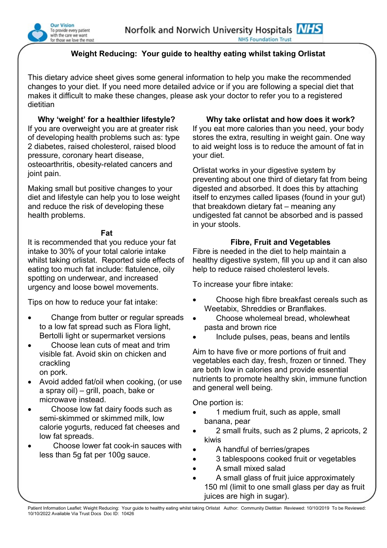

# **Weight Reducing: Your guide to healthy eating whilst taking Orlistat**

This dietary advice sheet gives some general information to help you make the recommended changes to your diet. If you need more detailed advice or if you are following a special diet that makes it difficult to make these changes, please ask your doctor to refer you to a registered dietitian

**Why 'weight' for a healthier lifestyle?** If you are overweight you are at greater risk of developing health problems such as: type 2 diabetes, raised cholesterol, raised blood pressure, coronary heart disease, osteoarthritis, obesity-related cancers and joint pain.

Making small but positive changes to your diet and lifestyle can help you to lose weight and reduce the risk of developing these health problems.

#### **Fat**

It is recommended that you reduce your fat intake to 30% of your total calorie intake whilst taking orlistat. Reported side effects of eating too much fat include: flatulence, oily spotting on underwear, and increased urgency and loose bowel movements.

Tips on how to reduce your fat intake:

- Change from butter or regular spreads to a low fat spread such as Flora light, Bertolli light or supermarket versions
- Choose lean cuts of meat and trim visible fat. Avoid skin on chicken and crackling on pork.
- Avoid added fat/oil when cooking, (or use a spray oil) – grill, poach, bake or microwave instead.
- Choose low fat dairy foods such as semi-skimmed or skimmed milk, low calorie yogurts, reduced fat cheeses and low fat spreads.
- Choose lower fat cook-in sauces with less than 5g fat per 100g sauce.

## **Why take orlistat and how does it work?**

If you eat more calories than you need, your body stores the extra, resulting in weight gain. One way to aid weight loss is to reduce the amount of fat in your diet.

Orlistat works in your digestive system by preventing about one third of dietary fat from being digested and absorbed. It does this by attaching itself to enzymes called lipases (found in your gut) that breakdown dietary fat – meaning any undigested fat cannot be absorbed and is passed in your stools.

## **Fibre, Fruit and Vegetables**

Fibre is needed in the diet to help maintain a healthy digestive system, fill you up and it can also help to reduce raised cholesterol levels.

To increase your fibre intake:

- Choose high fibre breakfast cereals such as Weetabix, Shreddies or Branflakes.
- Choose wholemeal bread, wholewheat pasta and brown rice
- Include pulses, peas, beans and lentils

Aim to have five or more portions of fruit and vegetables each day, fresh, frozen or tinned. They are both low in calories and provide essential nutrients to promote healthy skin, immune function and general well being.

One portion is:

- 1 medium fruit, such as apple, small banana, pear
- 2 small fruits, such as 2 plums, 2 apricots, 2 kiwis
- A handful of berries/grapes
- 3 tablespoons cooked fruit or vegetables
- A small mixed salad
- A small glass of fruit juice approximately 150 ml (limit to one small glass per day as fruit juices are high in sugar).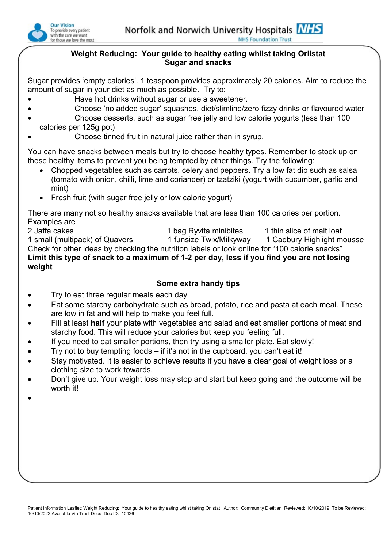

#### **Weight Reducing: Your guide to healthy eating whilst taking Orlistat Sugar and snacks**

Sugar provides 'empty calories'. 1 teaspoon provides approximately 20 calories. Aim to reduce the amount of sugar in your diet as much as possible. Try to:

- Have hot drinks without sugar or use a sweetener.
	- Choose 'no added sugar' squashes, diet/slimline/zero fizzy drinks or flavoured water
- Choose desserts, such as sugar free jelly and low calorie yogurts (less than 100 calories per 125g pot)
- Choose tinned fruit in natural juice rather than in syrup.

You can have snacks between meals but try to choose healthy types. Remember to stock up on these healthy items to prevent you being tempted by other things. Try the following:

- Chopped vegetables such as carrots, celery and peppers. Try a low fat dip such as salsa (tomato with onion, chilli, lime and coriander) or tzatziki (yogurt with cucumber, garlic and mint)
- Fresh fruit (with sugar free jelly or low calorie yogurt)

There are many not so healthy snacks available that are less than 100 calories per portion. Examples are

2 Jaffa cakes 1 bag Ryvita minibites 1 thin slice of malt loaf 1 small (multipack) of Quavers 1 funsize Twix/Milkyway 1 Cadbury Highlight mousse Check for other ideas by checking the nutrition labels or look online for "100 calorie snacks" **Limit this type of snack to a maximum of 1-2 per day, less if you find you are not losing weight**

## **Some extra handy tips**

- Try to eat three regular meals each day
- Eat some starchy carbohydrate such as bread, potato, rice and pasta at each meal. These are low in fat and will help to make you feel full.
- Fill at least **half** your plate with vegetables and salad and eat smaller portions of meat and starchy food. This will reduce your calories but keep you feeling full.
- If you need to eat smaller portions, then try using a smaller plate. Eat slowly!
- $\bullet$  Try not to buy tempting foods if it's not in the cupboard, you can't eat it!
- Stay motivated. It is easier to achieve results if you have a clear goal of weight loss or a clothing size to work towards.
- Don't give up. Your weight loss may stop and start but keep going and the outcome will be worth it!
- $\bullet$